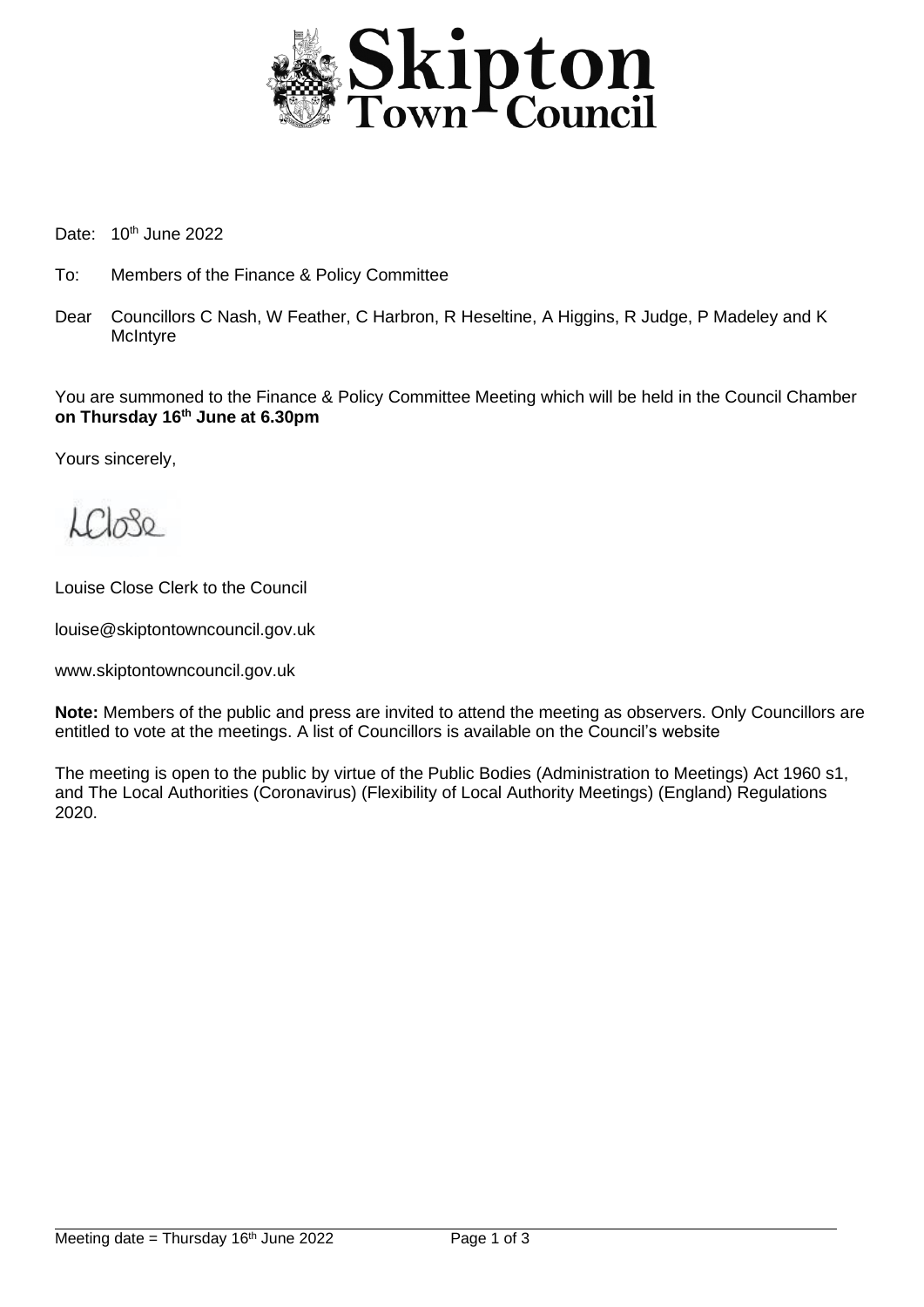

Date: 10<sup>th</sup> June 2022

- To: Members of the Finance & Policy Committee
- Dear Councillors C Nash, W Feather, C Harbron, R Heseltine, A Higgins, R Judge, P Madeley and K **McIntyre**

You are summoned to the Finance & Policy Committee Meeting which will be held in the Council Chamber **on Thursday 16 th June at 6.30pm**

Yours sincerely,

 $LCl_0$ 80

Louise Close Clerk to the Council

louise@skiptontowncouncil.gov.uk

www.skiptontowncouncil.gov.uk

**Note:** Members of the public and press are invited to attend the meeting as observers. Only Councillors are entitled to vote at the meetings. A list of Councillors is available on the Council's website

The meeting is open to the public by virtue of the Public Bodies (Administration to Meetings) Act 1960 s1, and The Local Authorities (Coronavirus) (Flexibility of Local Authority Meetings) (England) Regulations 2020.

j.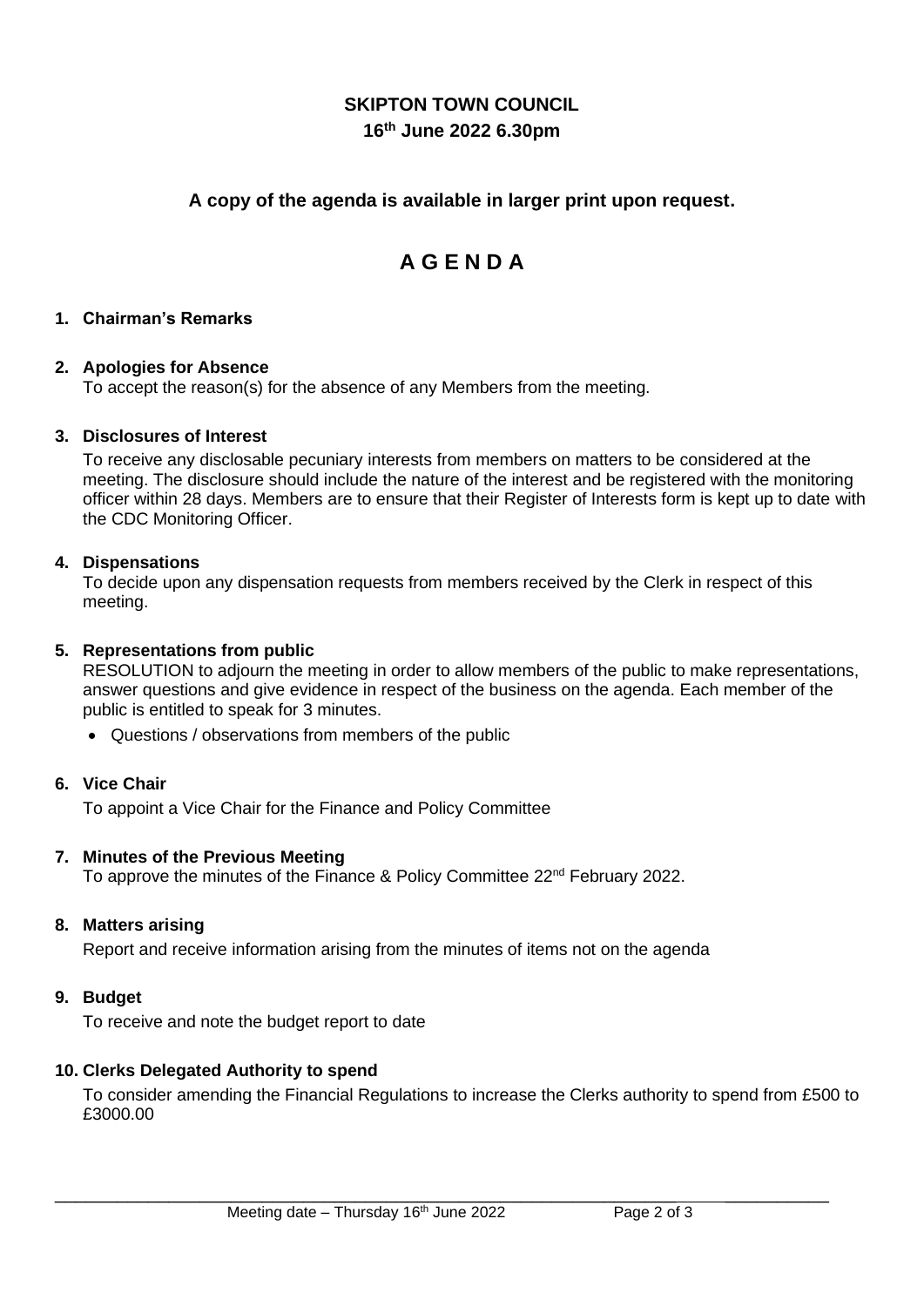# **SKIPTON TOWN COUNCIL 16 th June 2022 6.30pm**

# **A copy of the agenda is available in larger print upon request.**

# **A G E N D A**

# **1. Chairman's Remarks**

# **2. Apologies for Absence**

To accept the reason(s) for the absence of any Members from the meeting.

# **3. Disclosures of Interest**

To receive any disclosable pecuniary interests from members on matters to be considered at the meeting. The disclosure should include the nature of the interest and be registered with the monitoring officer within 28 days. Members are to ensure that their Register of Interests form is kept up to date with the CDC Monitoring Officer.

#### **4. Dispensations**

To decide upon any dispensation requests from members received by the Clerk in respect of this meeting.

### **5. Representations from public**

RESOLUTION to adjourn the meeting in order to allow members of the public to make representations, answer questions and give evidence in respect of the business on the agenda. Each member of the public is entitled to speak for 3 minutes.

• Questions / observations from members of the public

# **6. Vice Chair**

To appoint a Vice Chair for the Finance and Policy Committee

#### **7. Minutes of the Previous Meeting**

To approve the minutes of the Finance & Policy Committee 22<sup>nd</sup> February 2022.

#### **8. Matters arising**

Report and receive information arising from the minutes of items not on the agenda

#### **9. Budget**

To receive and note the budget report to date

#### **10. Clerks Delegated Authority to spend**

To consider amending the Financial Regulations to increase the Clerks authority to spend from £500 to £3000.00

\_\_\_\_\_\_\_\_\_\_\_\_\_\_\_\_\_\_\_\_\_\_\_\_\_\_\_\_\_\_\_\_\_\_\_\_\_\_\_\_\_\_\_\_\_\_\_\_\_\_\_\_\_\_\_\_\_\_\_\_ \_\_\_\_\_\_\_\_\_\_